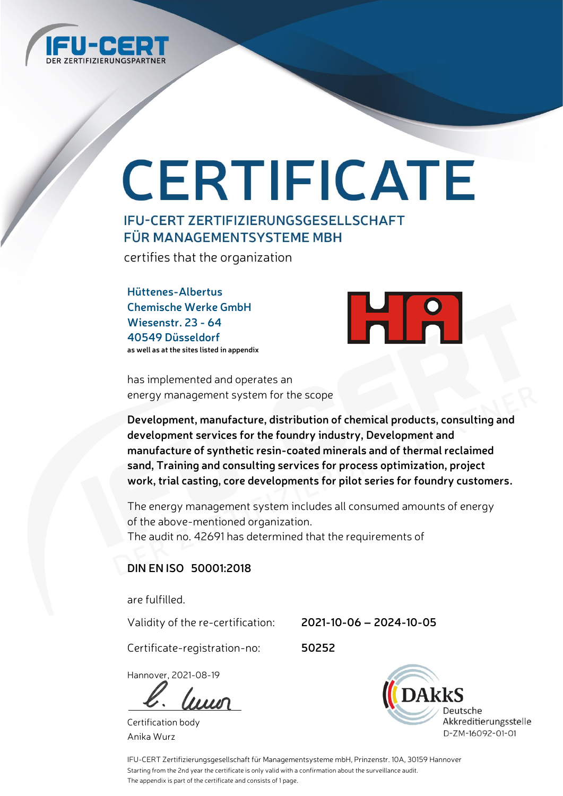

# CERTIFICATE

## **IFU-CERT ZERTIFIZIERUNGSGESELLSCHAFT** FÜR MANAGEMENTSYSTEME MBH

certifies that the organization

**Hüttenes-Albertus Chemische Werke GmbH Wiesenstr. 23 - 64 40549 Düsseldorf as well as at the sites listed in appendix**



has implemented and operates an energy management system for the scope

**Development, manufacture, distribution of chemical products, consulting and development services for the foundry industry, Development and manufacture of synthetic resin-coated minerals and of thermal reclaimed sand, Training and consulting services for process optimization, project work, trial casting, core developments for pilot series for foundry customers.**

The energy management system includes all consumed amounts of energy of the above-mentioned organization. The audit no. 42691 has determined that the requirements of

#### **DIN EN ISO 50001:2018**

are fulfilled.

Validity of the re-certification: **2021-10-06 – 2024-10-05**

Certificate-registration-no: **50252**

Hannover, 2021-08-19

 $\frac{1}{2}$ 

Certification body Anika Wurz



IFU-CERT Zertifizierungsgesellschaft für Managementsysteme mbH, Prinzenstr. 10A, 30159 Hannover Starting from the 2nd year the certificate is only valid with a confirmation about the surveillance audit. The appendix is part of the certificate and consists of 1 page.